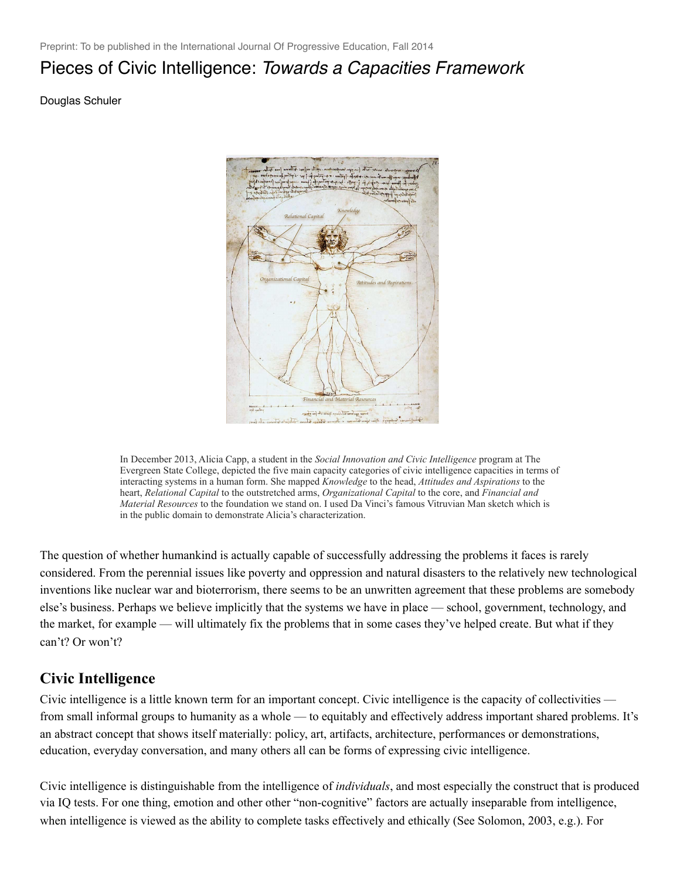# Pieces of Civic Intelligence: *Towards a Capacities Framework*

#### Douglas Schuler



In December 2013, Alicia Capp, a student in the *Social Innovation and Civic Intelligence* program at The Evergreen State College, depicted the five main capacity categories of civic intelligence capacities in terms of interacting systems in a human form. She mapped *Knowledge* to the head, *Attitudes and Aspirations* to the heart, *Relational Capital* to the outstretched arms, *Organizational Capital* to the core, and *Financial and Material Resources* to the foundation we stand on. I used Da Vinci's famous Vitruvian Man sketch which is in the public domain to demonstrate Alicia's characterization.

The question of whether humankind is actually capable of successfully addressing the problems it faces is rarely considered. From the perennial issues like poverty and oppression and natural disasters to the relatively new technological inventions like nuclear war and bioterrorism, there seems to be an unwritten agreement that these problems are somebody else's business. Perhaps we believe implicitly that the systems we have in place — school, government, technology, and the market, for example — will ultimately fix the problems that in some cases they've helped create. But what if they can't? Or won't?

## **Civic Intelligence**

Civic intelligence is a little known term for an important concept. Civic intelligence is the capacity of collectivities from small informal groups to humanity as a whole — to equitably and effectively address important shared problems. It's an abstract concept that shows itself materially: policy, art, artifacts, architecture, performances or demonstrations, education, everyday conversation, and many others all can be forms of expressing civic intelligence.

Civic intelligence is distinguishable from the intelligence of *individuals*, and most especially the construct that is produced via IQ tests. For one thing, emotion and other other "non-cognitive" factors are actually inseparable from intelligence, when intelligence is viewed as the ability to complete tasks effectively and ethically (See Solomon, 2003, e.g.). For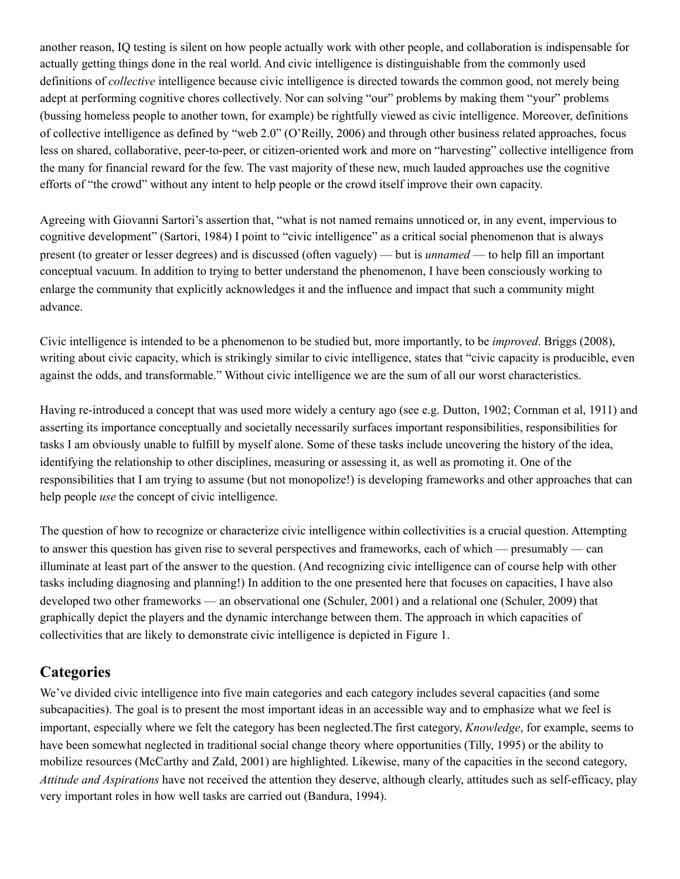another reason, IQ testing is silent on how people actually work with other people, and collaboration is indispensable for actually getting things done in the real world. And civic intelligence is distinguishable from the commonly used definitions of *collective* intelligence because civic intelligence is directed towards the common good, not merely being adept at performing cognitive chores collectively. Nor can solving "our" problems by making them "your" problems (bussing homeless people to another town, for example) be rightfully viewed as civic intelligence. Moreover, definitions of collective intelligence as defined by "web 2.0" (O'Reilly, 2006) and through other business related approaches, focus less on shared, collaborative, peer-to-peer, or citizen-oriented work and more on "harvesting" collective intelligence from the many for financial reward for the few. The vast majority of these new, much lauded approaches use the cognitive efforts of "the crowd" without any intent to help people or the crowd itself improve their own capacity.

Agreeing with Giovanni Sartori's assertion that, "what is not named remains unnoticed or, in any event, impervious to cognitive development" (Sartori, 1984) I point to "civic intelligence" as a critical social phenomenon that is always present (to greater or lesser degrees) and is discussed (often vaguely) — but is *unnamed* — to help fill an important conceptual vacuum. In addition to trying to better understand the phenomenon, I have been consciously working to enlarge the community that explicitly acknowledges it and the influence and impact that such a community might advance.

Civic intelligence is intended to be a phenomenon to be studied but, more importantly, to be *improved*. Briggs (2008), writing about civic capacity, which is strikingly similar to civic intelligence, states that "civic capacity is producible, even against the odds, and transformable." Without civic intelligence we are the sum of all our worst characteristics.

Having re-introduced a concept that was used more widely a century ago (see e.g. Dutton, 1902; Cornman et al, 1911) and asserting its importance conceptually and societally necessarily surfaces important responsibilities, responsibilities for tasks I am obviously unable to fulfill by myself alone. Some of these tasks include uncovering the history of the idea, identifying the relationship to other disciplines, measuring or assessing it, as well as promoting it. One of the responsibilities that I am trying to assume (but not monopolize!) is developing frameworks and other approaches that can help people *use* the concept of civic intelligence.

The question of how to recognize or characterize civic intelligence within collectivities is a crucial question. Attempting to answer this question has given rise to several perspectives and frameworks, each of which — presumably — can illuminate at least part of the answer to the question. (And recognizing civic intelligence can of course help with other tasks including diagnosing and planning!) In addition to the one presented here that focuses on capacities, I have also developed two other frameworks — an observational one (Schuler, 2001) and a relational one (Schuler, 2009) that graphically depict the players and the dynamic interchange between them. The approach in which capacities of collectivities that are likely to demonstrate civic intelligence is depicted in Figure 1.

## **Categories**

We've divided civic intelligence into five main categories and each category includes several capacities (and some subcapacities). The goal is to present the most important ideas in an accessible way and to emphasize what we feel is important, especially where we felt the category has been neglected.The first category, *Knowledge*, for example, seems to have been somewhat neglected in traditional social change theory where opportunities (Tilly, 1995) or the ability to mobilize resources (McCarthy and Zald, 2001) are highlighted. Likewise, many of the capacities in the second category, *Attitude and Aspirations* have not received the attention they deserve, although clearly, attitudes such as self-efficacy, play very important roles in how well tasks are carried out (Bandura, 1994).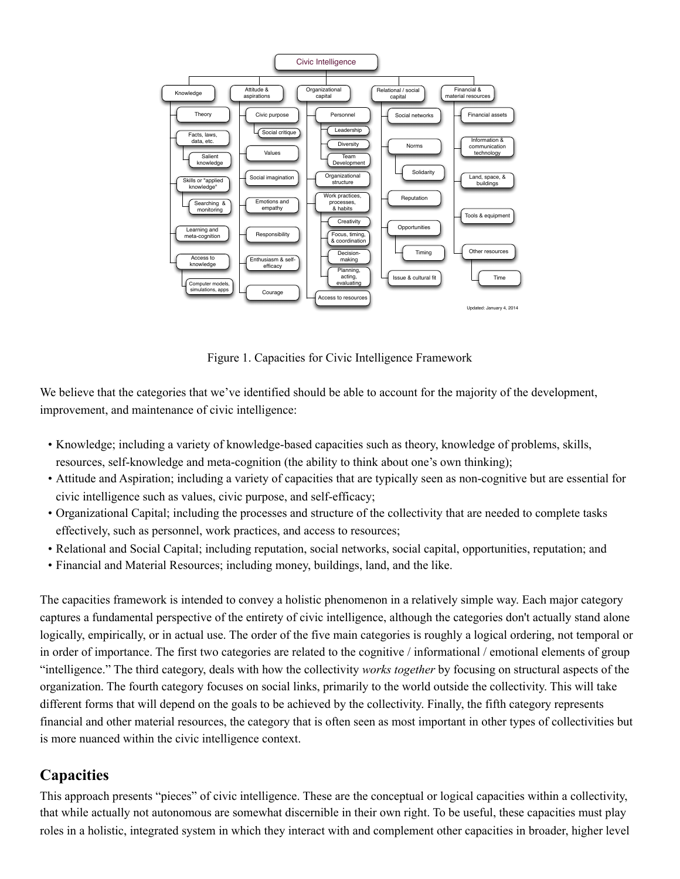

Figure 1. Capacities for Civic Intelligence Framework

We believe that the categories that we've identified should be able to account for the majority of the development, improvement, and maintenance of civic intelligence:

- Knowledge; including a variety of knowledge-based capacities such as theory, knowledge of problems, skills, resources, self-knowledge and meta-cognition (the ability to think about one's own thinking);
- Attitude and Aspiration; including a variety of capacities that are typically seen as non-cognitive but are essential for civic intelligence such as values, civic purpose, and self-efficacy;
- Organizational Capital; including the processes and structure of the collectivity that are needed to complete tasks effectively, such as personnel, work practices, and access to resources;
- Relational and Social Capital; including reputation, social networks, social capital, opportunities, reputation; and
- Financial and Material Resources; including money, buildings, land, and the like.

The capacities framework is intended to convey a holistic phenomenon in a relatively simple way. Each major category captures a fundamental perspective of the entirety of civic intelligence, although the categories don't actually stand alone logically, empirically, or in actual use. The order of the five main categories is roughly a logical ordering, not temporal or in order of importance. The first two categories are related to the cognitive / informational / emotional elements of group "intelligence." The third category, deals with how the collectivity *works together* by focusing on structural aspects of the organization. The fourth category focuses on social links, primarily to the world outside the collectivity. This will take different forms that will depend on the goals to be achieved by the collectivity. Finally, the fifth category represents financial and other material resources, the category that is often seen as most important in other types of collectivities but is more nuanced within the civic intelligence context.

### **Capacities**

This approach presents "pieces" of civic intelligence. These are the conceptual or logical capacities within a collectivity, that while actually not autonomous are somewhat discernible in their own right. To be useful, these capacities must play roles in a holistic, integrated system in which they interact with and complement other capacities in broader, higher level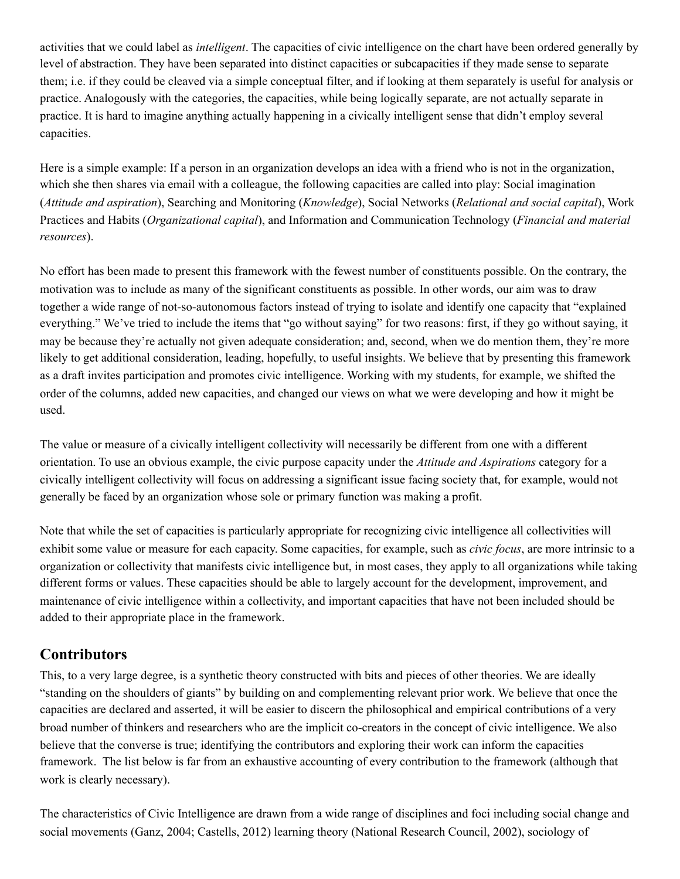activities that we could label as *intelligent*. The capacities of civic intelligence on the chart have been ordered generally by level of abstraction. They have been separated into distinct capacities or subcapacities if they made sense to separate them; i.e. if they could be cleaved via a simple conceptual filter, and if looking at them separately is useful for analysis or practice. Analogously with the categories, the capacities, while being logically separate, are not actually separate in practice. It is hard to imagine anything actually happening in a civically intelligent sense that didn't employ several capacities.

Here is a simple example: If a person in an organization develops an idea with a friend who is not in the organization, which she then shares via email with a colleague, the following capacities are called into play: Social imagination (*Attitude and aspiration*), Searching and Monitoring (*Knowledge*), Social Networks (*Relational and social capital*), Work Practices and Habits (*Organizational capital*), and Information and Communication Technology (*Financial and material resources*).

No effort has been made to present this framework with the fewest number of constituents possible. On the contrary, the motivation was to include as many of the significant constituents as possible. In other words, our aim was to draw together a wide range of not-so-autonomous factors instead of trying to isolate and identify one capacity that "explained everything." We've tried to include the items that "go without saying" for two reasons: first, if they go without saying, it may be because they're actually not given adequate consideration; and, second, when we do mention them, they're more likely to get additional consideration, leading, hopefully, to useful insights. We believe that by presenting this framework as a draft invites participation and promotes civic intelligence. Working with my students, for example, we shifted the order of the columns, added new capacities, and changed our views on what we were developing and how it might be used.

The value or measure of a civically intelligent collectivity will necessarily be different from one with a different orientation. To use an obvious example, the civic purpose capacity under the *Attitude and Aspirations* category for a civically intelligent collectivity will focus on addressing a significant issue facing society that, for example, would not generally be faced by an organization whose sole or primary function was making a profit.

Note that while the set of capacities is particularly appropriate for recognizing civic intelligence all collectivities will exhibit some value or measure for each capacity. Some capacities, for example, such as *civic focus*, are more intrinsic to a organization or collectivity that manifests civic intelligence but, in most cases, they apply to all organizations while taking different forms or values. These capacities should be able to largely account for the development, improvement, and maintenance of civic intelligence within a collectivity, and important capacities that have not been included should be added to their appropriate place in the framework.

## **Contributors**

This, to a very large degree, is a synthetic theory constructed with bits and pieces of other theories. We are ideally "standing on the shoulders of giants" by building on and complementing relevant prior work. We believe that once the capacities are declared and asserted, it will be easier to discern the philosophical and empirical contributions of a very broad number of thinkers and researchers who are the implicit co-creators in the concept of civic intelligence. We also believe that the converse is true; identifying the contributors and exploring their work can inform the capacities framework. The list below is far from an exhaustive accounting of every contribution to the framework (although that work is clearly necessary).

The characteristics of Civic Intelligence are drawn from a wide range of disciplines and foci including social change and social movements (Ganz, 2004; Castells, 2012) learning theory (National Research Council, 2002), sociology of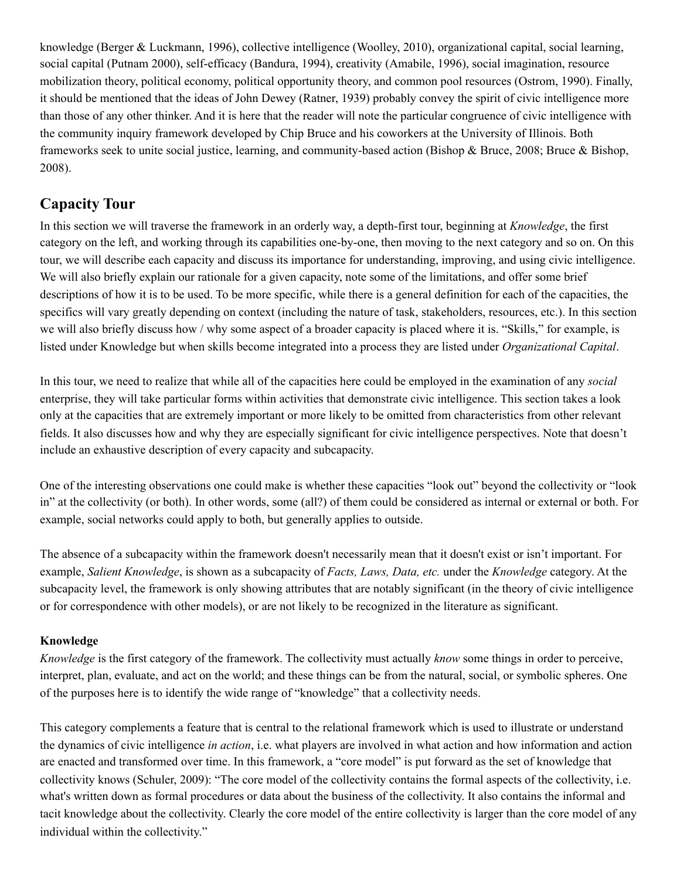knowledge (Berger & Luckmann, 1996), collective intelligence (Woolley, 2010), organizational capital, social learning, social capital (Putnam 2000), self-efficacy (Bandura, 1994), creativity (Amabile, 1996), social imagination, resource mobilization theory, political economy, political opportunity theory, and common pool resources (Ostrom, 1990). Finally, it should be mentioned that the ideas of John Dewey (Ratner, 1939) probably convey the spirit of civic intelligence more than those of any other thinker. And it is here that the reader will note the particular congruence of civic intelligence with the community inquiry framework developed by Chip Bruce and his coworkers at the University of Illinois. Both frameworks seek to unite social justice, learning, and community-based action (Bishop & Bruce, 2008; Bruce & Bishop, 2008).

## **Capacity Tour**

In this section we will traverse the framework in an orderly way, a depth-first tour, beginning at *Knowledge*, the first category on the left, and working through its capabilities one-by-one, then moving to the next category and so on. On this tour, we will describe each capacity and discuss its importance for understanding, improving, and using civic intelligence. We will also briefly explain our rationale for a given capacity, note some of the limitations, and offer some brief descriptions of how it is to be used. To be more specific, while there is a general definition for each of the capacities, the specifics will vary greatly depending on context (including the nature of task, stakeholders, resources, etc.). In this section we will also briefly discuss how / why some aspect of a broader capacity is placed where it is. "Skills," for example, is listed under Knowledge but when skills become integrated into a process they are listed under *Organizational Capital*.

In this tour, we need to realize that while all of the capacities here could be employed in the examination of any *social* enterprise, they will take particular forms within activities that demonstrate civic intelligence. This section takes a look only at the capacities that are extremely important or more likely to be omitted from characteristics from other relevant fields. It also discusses how and why they are especially significant for civic intelligence perspectives. Note that doesn't include an exhaustive description of every capacity and subcapacity.

One of the interesting observations one could make is whether these capacities "look out" beyond the collectivity or "look in" at the collectivity (or both). In other words, some (all?) of them could be considered as internal or external or both. For example, social networks could apply to both, but generally applies to outside.

The absence of a subcapacity within the framework doesn't necessarily mean that it doesn't exist or isn't important. For example, *Salient Knowledge*, is shown as a subcapacity of *Facts, Laws, Data, etc.* under the *Knowledge* category. At the subcapacity level, the framework is only showing attributes that are notably significant (in the theory of civic intelligence or for correspondence with other models), or are not likely to be recognized in the literature as significant.

### **Knowledge**

*Knowledge* is the first category of the framework. The collectivity must actually *know* some things in order to perceive, interpret, plan, evaluate, and act on the world; and these things can be from the natural, social, or symbolic spheres. One of the purposes here is to identify the wide range of "knowledge" that a collectivity needs.

This category complements a feature that is central to the relational framework which is used to illustrate or understand the dynamics of civic intelligence *in action*, i.e. what players are involved in what action and how information and action are enacted and transformed over time. In this framework, a "core model" is put forward as the set of knowledge that collectivity knows (Schuler, 2009): "The core model of the collectivity contains the formal aspects of the collectivity, i.e. what's written down as formal procedures or data about the business of the collectivity. It also contains the informal and tacit knowledge about the collectivity. Clearly the core model of the entire collectivity is larger than the core model of any individual within the collectivity."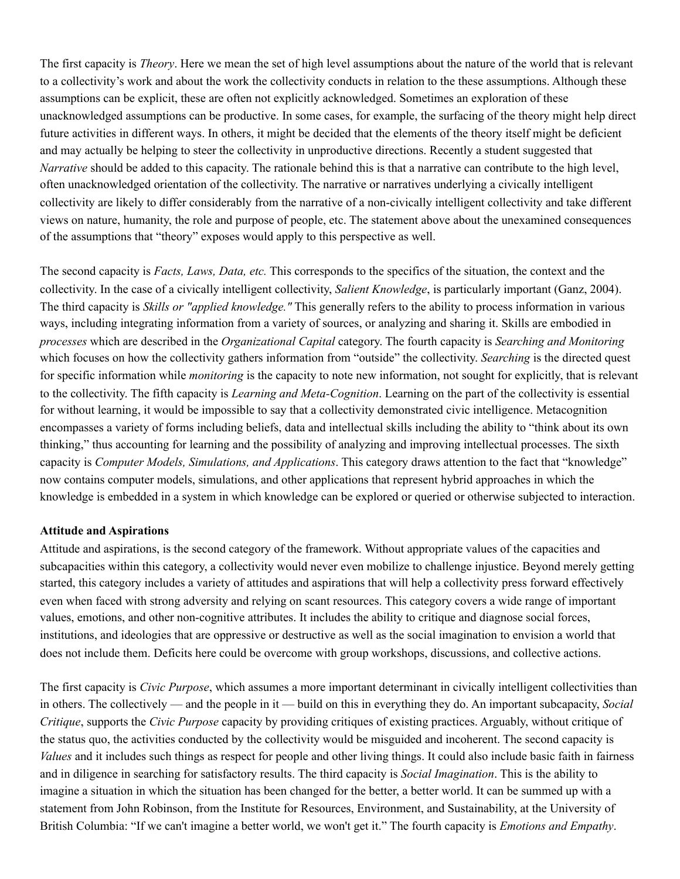The first capacity is *Theory*. Here we mean the set of high level assumptions about the nature of the world that is relevant to a collectivity's work and about the work the collectivity conducts in relation to the these assumptions. Although these assumptions can be explicit, these are often not explicitly acknowledged. Sometimes an exploration of these unacknowledged assumptions can be productive. In some cases, for example, the surfacing of the theory might help direct future activities in different ways. In others, it might be decided that the elements of the theory itself might be deficient and may actually be helping to steer the collectivity in unproductive directions. Recently a student suggested that *Narrative* should be added to this capacity. The rationale behind this is that a narrative can contribute to the high level, often unacknowledged orientation of the collectivity. The narrative or narratives underlying a civically intelligent collectivity are likely to differ considerably from the narrative of a non-civically intelligent collectivity and take different views on nature, humanity, the role and purpose of people, etc. The statement above about the unexamined consequences of the assumptions that "theory" exposes would apply to this perspective as well.

The second capacity is *Facts, Laws, Data, etc.* This corresponds to the specifics of the situation, the context and the collectivity. In the case of a civically intelligent collectivity, *Salient Knowledge*, is particularly important (Ganz, 2004). The third capacity is *Skills or "applied knowledge."* This generally refers to the ability to process information in various ways, including integrating information from a variety of sources, or analyzing and sharing it. Skills are embodied in *processes* which are described in the *Organizational Capital* category. The fourth capacity is *Searching and Monitoring* which focuses on how the collectivity gathers information from "outside" the collectivity. *Searching* is the directed quest for specific information while *monitoring* is the capacity to note new information, not sought for explicitly, that is relevant to the collectivity. The fifth capacity is *Learning and Meta-Cognition*. Learning on the part of the collectivity is essential for without learning, it would be impossible to say that a collectivity demonstrated civic intelligence. Metacognition encompasses a variety of forms including beliefs, data and intellectual skills including the ability to "think about its own thinking," thus accounting for learning and the possibility of analyzing and improving intellectual processes. The sixth capacity is *Computer Models, Simulations, and Applications*. This category draws attention to the fact that "knowledge" now contains computer models, simulations, and other applications that represent hybrid approaches in which the knowledge is embedded in a system in which knowledge can be explored or queried or otherwise subjected to interaction.

#### **Attitude and Aspirations**

Attitude and aspirations, is the second category of the framework. Without appropriate values of the capacities and subcapacities within this category, a collectivity would never even mobilize to challenge injustice. Beyond merely getting started, this category includes a variety of attitudes and aspirations that will help a collectivity press forward effectively even when faced with strong adversity and relying on scant resources. This category covers a wide range of important values, emotions, and other non-cognitive attributes. It includes the ability to critique and diagnose social forces, institutions, and ideologies that are oppressive or destructive as well as the social imagination to envision a world that does not include them. Deficits here could be overcome with group workshops, discussions, and collective actions.

The first capacity is *Civic Purpose*, which assumes a more important determinant in civically intelligent collectivities than in others. The collectively — and the people in it — build on this in everything they do. An important subcapacity, *Social Critique*, supports the *Civic Purpose* capacity by providing critiques of existing practices. Arguably, without critique of the status quo, the activities conducted by the collectivity would be misguided and incoherent. The second capacity is *Values* and it includes such things as respect for people and other living things. It could also include basic faith in fairness and in diligence in searching for satisfactory results. The third capacity is *Social Imagination*. This is the ability to imagine a situation in which the situation has been changed for the better, a better world. It can be summed up with a statement from John Robinson, from the Institute for Resources, Environment, and Sustainability, at the University of British Columbia: "If we can't imagine a better world, we won't get it." The fourth capacity is *Emotions and Empathy*.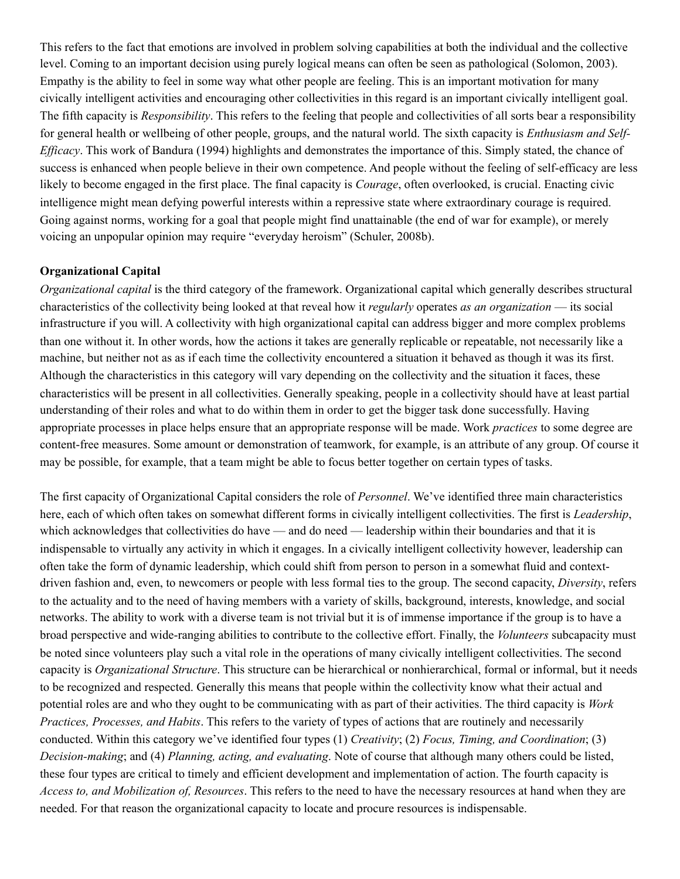This refers to the fact that emotions are involved in problem solving capabilities at both the individual and the collective level. Coming to an important decision using purely logical means can often be seen as pathological (Solomon, 2003). Empathy is the ability to feel in some way what other people are feeling. This is an important motivation for many civically intelligent activities and encouraging other collectivities in this regard is an important civically intelligent goal. The fifth capacity is *Responsibility*. This refers to the feeling that people and collectivities of all sorts bear a responsibility for general health or wellbeing of other people, groups, and the natural world. The sixth capacity is *Enthusiasm and Self-Efficacy*. This work of Bandura (1994) highlights and demonstrates the importance of this. Simply stated, the chance of success is enhanced when people believe in their own competence. And people without the feeling of self-efficacy are less likely to become engaged in the first place. The final capacity is *Courage*, often overlooked, is crucial. Enacting civic intelligence might mean defying powerful interests within a repressive state where extraordinary courage is required. Going against norms, working for a goal that people might find unattainable (the end of war for example), or merely voicing an unpopular opinion may require "everyday heroism" (Schuler, 2008b).

#### **Organizational Capital**

*Organizational capital* is the third category of the framework. Organizational capital which generally describes structural characteristics of the collectivity being looked at that reveal how it *regularly* operates *as an organization* — its social infrastructure if you will. A collectivity with high organizational capital can address bigger and more complex problems than one without it. In other words, how the actions it takes are generally replicable or repeatable, not necessarily like a machine, but neither not as as if each time the collectivity encountered a situation it behaved as though it was its first. Although the characteristics in this category will vary depending on the collectivity and the situation it faces, these characteristics will be present in all collectivities. Generally speaking, people in a collectivity should have at least partial understanding of their roles and what to do within them in order to get the bigger task done successfully. Having appropriate processes in place helps ensure that an appropriate response will be made. Work *practices* to some degree are content-free measures. Some amount or demonstration of teamwork, for example, is an attribute of any group. Of course it may be possible, for example, that a team might be able to focus better together on certain types of tasks.

The first capacity of Organizational Capital considers the role of *Personnel*. We've identified three main characteristics here, each of which often takes on somewhat different forms in civically intelligent collectivities. The first is *Leadership*, which acknowledges that collectivities do have — and do need — leadership within their boundaries and that it is indispensable to virtually any activity in which it engages. In a civically intelligent collectivity however, leadership can often take the form of dynamic leadership, which could shift from person to person in a somewhat fluid and contextdriven fashion and, even, to newcomers or people with less formal ties to the group. The second capacity, *Diversity*, refers to the actuality and to the need of having members with a variety of skills, background, interests, knowledge, and social networks. The ability to work with a diverse team is not trivial but it is of immense importance if the group is to have a broad perspective and wide-ranging abilities to contribute to the collective effort. Finally, the *Volunteers* subcapacity must be noted since volunteers play such a vital role in the operations of many civically intelligent collectivities. The second capacity is *Organizational Structure*. This structure can be hierarchical or nonhierarchical, formal or informal, but it needs to be recognized and respected. Generally this means that people within the collectivity know what their actual and potential roles are and who they ought to be communicating with as part of their activities. The third capacity is *Work Practices, Processes, and Habits*. This refers to the variety of types of actions that are routinely and necessarily conducted. Within this category we've identified four types (1) *Creativity*; (2) *Focus, Timing, and Coordination*; (3) *Decision-making*; and (4) *Planning, acting, and evaluating*. Note of course that although many others could be listed, these four types are critical to timely and efficient development and implementation of action. The fourth capacity is *Access to, and Mobilization of, Resources*. This refers to the need to have the necessary resources at hand when they are needed. For that reason the organizational capacity to locate and procure resources is indispensable.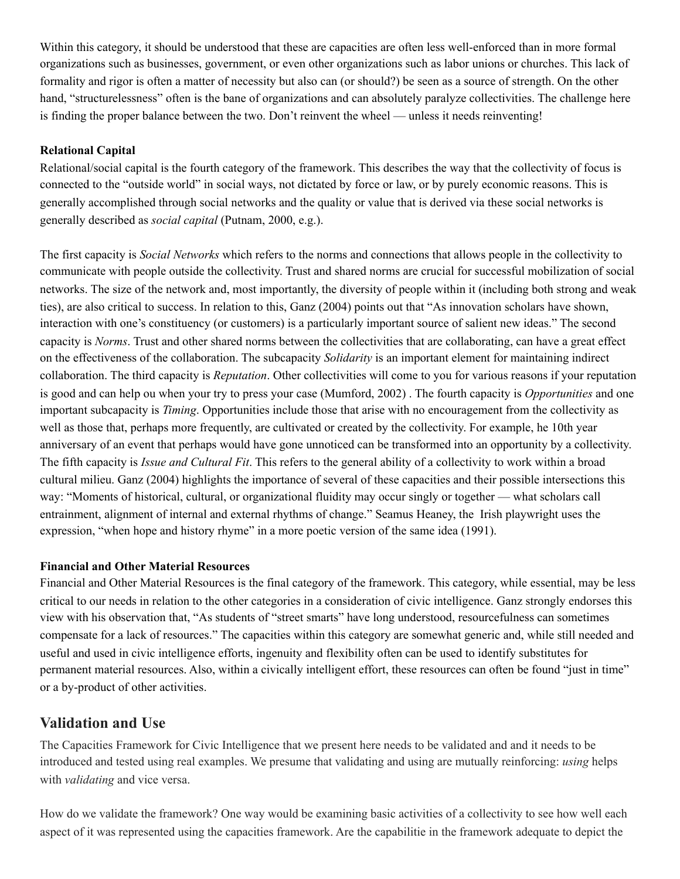Within this category, it should be understood that these are capacities are often less well-enforced than in more formal organizations such as businesses, government, or even other organizations such as labor unions or churches. This lack of formality and rigor is often a matter of necessity but also can (or should?) be seen as a source of strength. On the other hand, "structurelessness" often is the bane of organizations and can absolutely paralyze collectivities. The challenge here is finding the proper balance between the two. Don't reinvent the wheel — unless it needs reinventing!

### **Relational Capital**

Relational/social capital is the fourth category of the framework. This describes the way that the collectivity of focus is connected to the "outside world" in social ways, not dictated by force or law, or by purely economic reasons. This is generally accomplished through social networks and the quality or value that is derived via these social networks is generally described as *social capital* (Putnam, 2000, e.g.).

The first capacity is *Social Networks* which refers to the norms and connections that allows people in the collectivity to communicate with people outside the collectivity. Trust and shared norms are crucial for successful mobilization of social networks. The size of the network and, most importantly, the diversity of people within it (including both strong and weak ties), are also critical to success. In relation to this, Ganz (2004) points out that "As innovation scholars have shown, interaction with one's constituency (or customers) is a particularly important source of salient new ideas." The second capacity is *Norms*. Trust and other shared norms between the collectivities that are collaborating, can have a great effect on the effectiveness of the collaboration. The subcapacity *Solidarity* is an important element for maintaining indirect collaboration. The third capacity is *Reputation*. Other collectivities will come to you for various reasons if your reputation is good and can help ou when your try to press your case (Mumford, 2002) . The fourth capacity is *Opportunities* and one important subcapacity is *Timing*. Opportunities include those that arise with no encouragement from the collectivity as well as those that, perhaps more frequently, are cultivated or created by the collectivity. For example, he 10th year anniversary of an event that perhaps would have gone unnoticed can be transformed into an opportunity by a collectivity. The fifth capacity is *Issue and Cultural Fit*. This refers to the general ability of a collectivity to work within a broad cultural milieu. Ganz (2004) highlights the importance of several of these capacities and their possible intersections this way: "Moments of historical, cultural, or organizational fluidity may occur singly or together — what scholars call entrainment, alignment of internal and external rhythms of change." Seamus Heaney, the Irish playwright uses the expression, "when hope and history rhyme" in a more poetic version of the same idea (1991).

#### **Financial and Other Material Resources**

Financial and Other Material Resources is the final category of the framework. This category, while essential, may be less critical to our needs in relation to the other categories in a consideration of civic intelligence. Ganz strongly endorses this view with his observation that, "As students of "street smarts" have long understood, resourcefulness can sometimes compensate for a lack of resources." The capacities within this category are somewhat generic and, while still needed and useful and used in civic intelligence efforts, ingenuity and flexibility often can be used to identify substitutes for permanent material resources. Also, within a civically intelligent effort, these resources can often be found "just in time" or a by-product of other activities.

## **Validation and Use**

The Capacities Framework for Civic Intelligence that we present here needs to be validated and and it needs to be introduced and tested using real examples. We presume that validating and using are mutually reinforcing: *using* helps with *validating* and vice versa.

How do we validate the framework? One way would be examining basic activities of a collectivity to see how well each aspect of it was represented using the capacities framework. Are the capabilitie in the framework adequate to depict the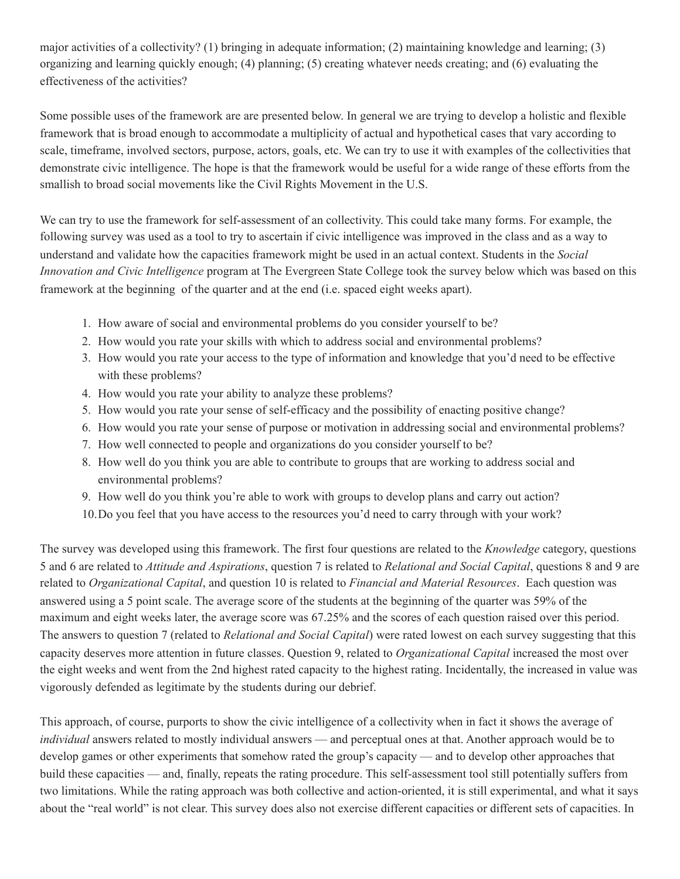major activities of a collectivity? (1) bringing in adequate information; (2) maintaining knowledge and learning; (3) organizing and learning quickly enough; (4) planning; (5) creating whatever needs creating; and (6) evaluating the effectiveness of the activities?

Some possible uses of the framework are are presented below. In general we are trying to develop a holistic and flexible framework that is broad enough to accommodate a multiplicity of actual and hypothetical cases that vary according to scale, timeframe, involved sectors, purpose, actors, goals, etc. We can try to use it with examples of the collectivities that demonstrate civic intelligence. The hope is that the framework would be useful for a wide range of these efforts from the smallish to broad social movements like the Civil Rights Movement in the U.S.

We can try to use the framework for self-assessment of an collectivity. This could take many forms. For example, the following survey was used as a tool to try to ascertain if civic intelligence was improved in the class and as a way to understand and validate how the capacities framework might be used in an actual context. Students in the *Social Innovation and Civic Intelligence* program at The Evergreen State College took the survey below which was based on this framework at the beginning of the quarter and at the end (i.e. spaced eight weeks apart).

- 1. How aware of social and environmental problems do you consider yourself to be?
- 2. How would you rate your skills with which to address social and environmental problems?
- 3. How would you rate your access to the type of information and knowledge that you'd need to be effective with these problems?
- 4. How would you rate your ability to analyze these problems?
- 5. How would you rate your sense of self-efficacy and the possibility of enacting positive change?
- 6. How would you rate your sense of purpose or motivation in addressing social and environmental problems?
- 7. How well connected to people and organizations do you consider yourself to be?
- 8. How well do you think you are able to contribute to groups that are working to address social and environmental problems?
- 9. How well do you think you're able to work with groups to develop plans and carry out action?
- 10.Do you feel that you have access to the resources you'd need to carry through with your work?

The survey was developed using this framework. The first four questions are related to the *Knowledge* category, questions 5 and 6 are related to *Attitude and Aspirations*, question 7 is related to *Relational and Social Capital*, questions 8 and 9 are related to *Organizational Capital*, and question 10 is related to *Financial and Material Resources*. Each question was answered using a 5 point scale. The average score of the students at the beginning of the quarter was 59% of the maximum and eight weeks later, the average score was 67.25% and the scores of each question raised over this period. The answers to question 7 (related to *Relational and Social Capital*) were rated lowest on each survey suggesting that this capacity deserves more attention in future classes. Question 9, related to *Organizational Capital* increased the most over the eight weeks and went from the 2nd highest rated capacity to the highest rating. Incidentally, the increased in value was vigorously defended as legitimate by the students during our debrief.

This approach, of course, purports to show the civic intelligence of a collectivity when in fact it shows the average of *individual* answers related to mostly individual answers — and perceptual ones at that. Another approach would be to develop games or other experiments that somehow rated the group's capacity — and to develop other approaches that build these capacities — and, finally, repeats the rating procedure. This self-assessment tool still potentially suffers from two limitations. While the rating approach was both collective and action-oriented, it is still experimental, and what it says about the "real world" is not clear. This survey does also not exercise different capacities or different sets of capacities. In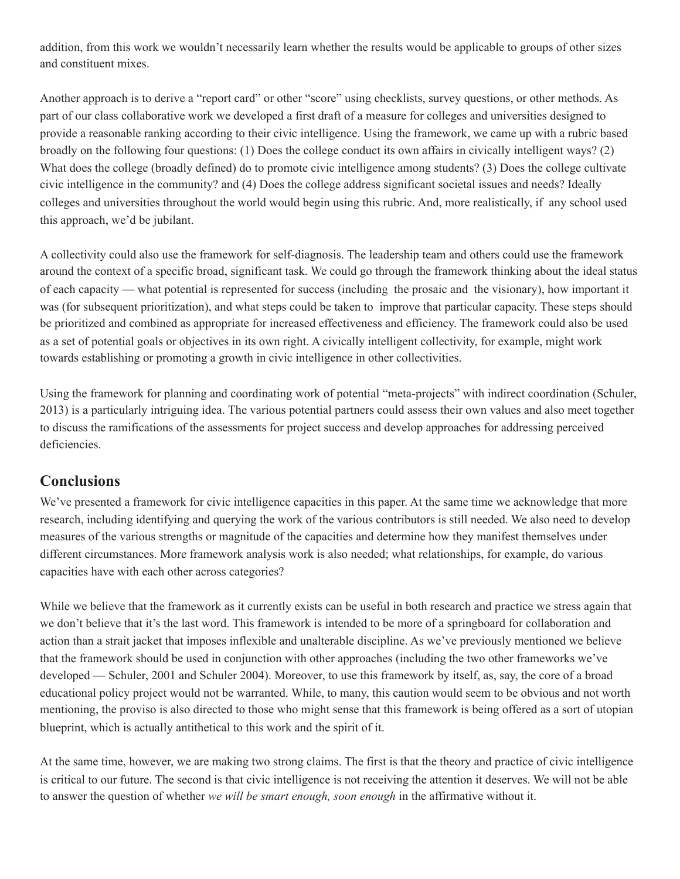addition, from this work we wouldn't necessarily learn whether the results would be applicable to groups of other sizes and constituent mixes.

Another approach is to derive a "report card" or other "score" using checklists, survey questions, or other methods. As part of our class collaborative work we developed a first draft of a measure for colleges and universities designed to provide a reasonable ranking according to their civic intelligence. Using the framework, we came up with a rubric based broadly on the following four questions: (1) Does the college conduct its own affairs in civically intelligent ways? (2) What does the college (broadly defined) do to promote civic intelligence among students? (3) Does the college cultivate civic intelligence in the community? and (4) Does the college address significant societal issues and needs? Ideally colleges and universities throughout the world would begin using this rubric. And, more realistically, if any school used this approach, we'd be jubilant.

A collectivity could also use the framework for self-diagnosis. The leadership team and others could use the framework around the context of a specific broad, significant task. We could go through the framework thinking about the ideal status of each capacity — what potential is represented for success (including the prosaic and the visionary), how important it was (for subsequent prioritization), and what steps could be taken to improve that particular capacity. These steps should be prioritized and combined as appropriate for increased effectiveness and efficiency. The framework could also be used as a set of potential goals or objectives in its own right. A civically intelligent collectivity, for example, might work towards establishing or promoting a growth in civic intelligence in other collectivities.

Using the framework for planning and coordinating work of potential "meta-projects" with indirect coordination (Schuler, 2013) is a particularly intriguing idea. The various potential partners could assess their own values and also meet together to discuss the ramifications of the assessments for project success and develop approaches for addressing perceived deficiencies.

## **Conclusions**

We've presented a framework for civic intelligence capacities in this paper. At the same time we acknowledge that more research, including identifying and querying the work of the various contributors is still needed. We also need to develop measures of the various strengths or magnitude of the capacities and determine how they manifest themselves under different circumstances. More framework analysis work is also needed; what relationships, for example, do various capacities have with each other across categories?

While we believe that the framework as it currently exists can be useful in both research and practice we stress again that we don't believe that it's the last word. This framework is intended to be more of a springboard for collaboration and action than a strait jacket that imposes inflexible and unalterable discipline. As we've previously mentioned we believe that the framework should be used in conjunction with other approaches (including the two other frameworks we've developed — Schuler, 2001 and Schuler 2004). Moreover, to use this framework by itself, as, say, the core of a broad educational policy project would not be warranted. While, to many, this caution would seem to be obvious and not worth mentioning, the proviso is also directed to those who might sense that this framework is being offered as a sort of utopian blueprint, which is actually antithetical to this work and the spirit of it.

At the same time, however, we are making two strong claims. The first is that the theory and practice of civic intelligence is critical to our future. The second is that civic intelligence is not receiving the attention it deserves. We will not be able to answer the question of whether *we will be smart enough, soon enough* in the affirmative without it.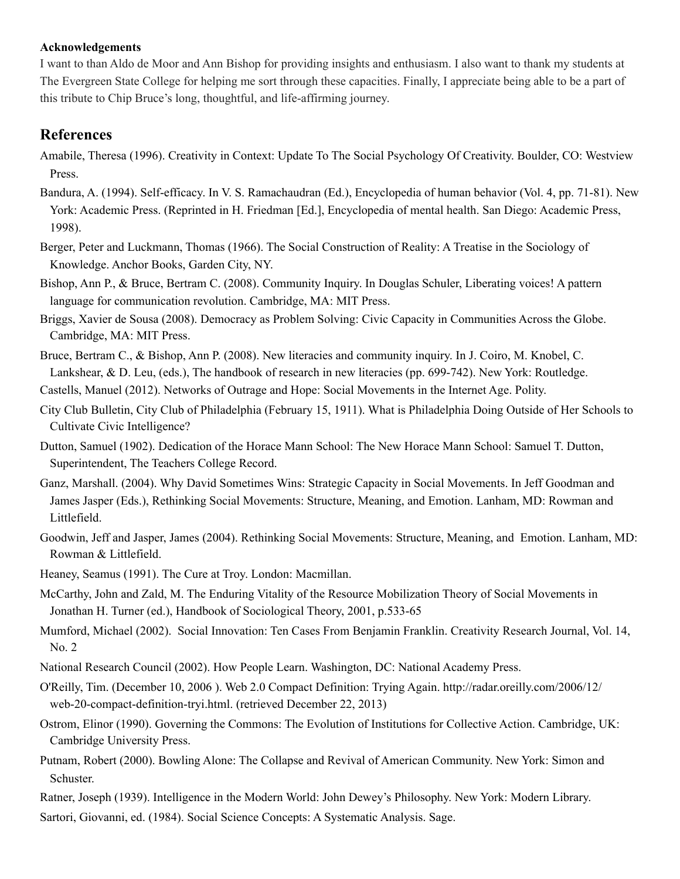#### **Acknowledgements**

I want to than Aldo de Moor and Ann Bishop for providing insights and enthusiasm. I also want to thank my students at The Evergreen State College for helping me sort through these capacities. Finally, I appreciate being able to be a part of this tribute to Chip Bruce's long, thoughtful, and life-affirming journey.

### **References**

- Amabile, Theresa (1996). Creativity in Context: Update To The Social Psychology Of Creativity. Boulder, CO: Westview Press.
- Bandura, A. (1994). Self-efficacy. In V. S. Ramachaudran (Ed.), Encyclopedia of human behavior (Vol. 4, pp. 71-81). New York: Academic Press. (Reprinted in H. Friedman [Ed.], Encyclopedia of mental health. San Diego: Academic Press, 1998).
- Berger, Peter and Luckmann, Thomas (1966). The Social Construction of Reality: A Treatise in the Sociology of Knowledge. Anchor Books, Garden City, NY.
- Bishop, Ann P., & Bruce, Bertram C. (2008). [Community Inquiry](http://www.publicsphereproject.org/patterns/pattern.pl/public?pattern_id=636). In Douglas Schuler, [Liberating voices! A pattern](http://mitpress.mit.edu/catalog/item/default.asp?ttype=2&tid=11601)  [language for communication revolution.](http://mitpress.mit.edu/catalog/item/default.asp?ttype=2&tid=11601) Cambridge, MA: MIT Press.
- Briggs, Xavier de Sousa (2008). Democracy as Problem Solving: Civic Capacity in Communities Across the Globe. Cambridge, MA: MIT Press.
- Bruce, Bertram C., & Bishop, Ann P. (2008). [New literacies and community inquiry.](http://hdl.handle.net/2142/15133) In J. Coiro, M. Knobel, C. Lankshear, & D. Leu, (eds.), The handbook of research in new literacies (pp. 699-742). New York: Routledge.
- Castells, Manuel (2012). Networks of Outrage and Hope: Social Movements in the Internet Age. Polity.
- City Club Bulletin, City Club of Philadelphia (February 15, 1911). What is Philadelphia Doing Outside of Her Schools to Cultivate Civic Intelligence?
- Dutton, Samuel (1902). Dedication of the Horace Mann School: The New Horace Mann School: Samuel T. Dutton, Superintendent, The Teachers College Record.
- Ganz, Marshall. (2004). Why David Sometimes Wins: Strategic Capacity in Social Movements. In Jeff Goodman and James Jasper (Eds.), Rethinking Social Movements: Structure, Meaning, and Emotion. Lanham, MD: Rowman and Littlefield.
- Goodwin, Jeff and Jasper, James (2004). Rethinking Social Movements: Structure, Meaning, and Emotion. Lanham, MD: Rowman & Littlefield.
- Heaney, Seamus (1991). The Cure at Troy. London: Macmillan.
- McCarthy, John and Zald, M. The Enduring Vitality of the Resource Mobilization Theory of Social Movements in Jonathan H. Turner (ed.), Handbook of Sociological Theory, 2001, p.533-65
- Mumford, Michael (2002). Social Innovation: Ten Cases From Benjamin Franklin. Creativity Research Journal, Vol. 14, No. 2
- National Research Council (2002). How People Learn. Washington, DC: National Academy Press.
- O'Reilly, Tim. (December 10, 2006 ). Web 2.0 Compact Definition: Trying Again. http://radar.oreilly.com/2006/12/ web-20-compact-definition-tryi.html. (retrieved December 22, 2013)
- Ostrom, Elinor (1990). Governing the Commons: The Evolution of Institutions for Collective Action. Cambridge, UK: Cambridge University Press.
- Putnam, Robert (2000). Bowling Alone: The Collapse and Revival of American Community. New York: Simon and Schuster.
- Ratner, Joseph (1939). Intelligence in the Modern World: John Dewey's Philosophy. New York: Modern Library.
- Sartori, Giovanni, ed. (1984). Social Science Concepts: A Systematic Analysis. Sage.